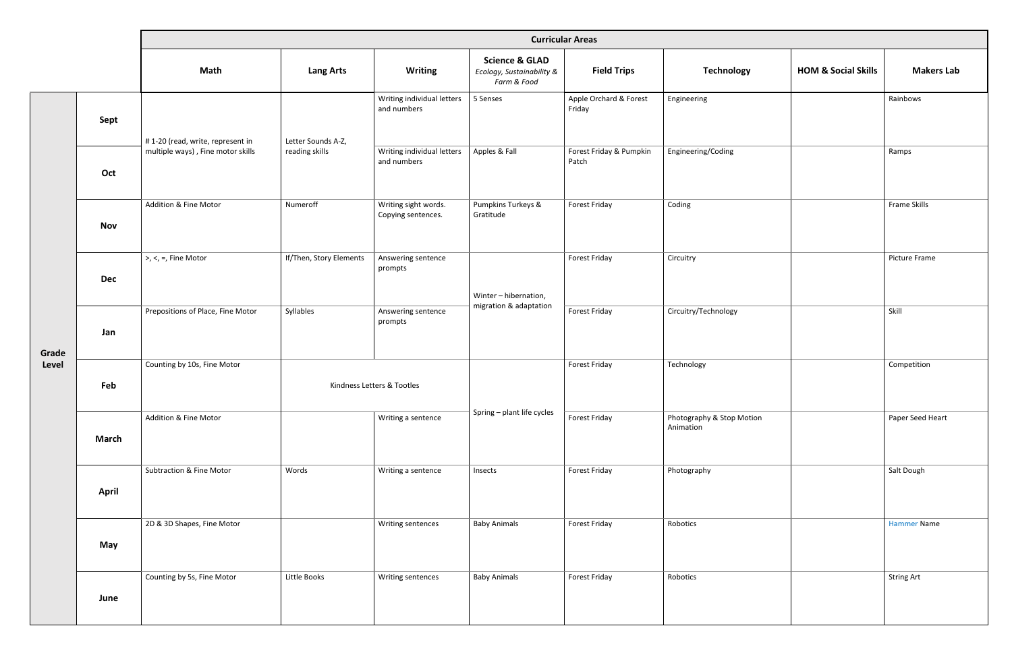|                |              | <b>Curricular Areas</b>             |                                      |                                            |                                                                       |                                  |                                        |                                |                    |  |
|----------------|--------------|-------------------------------------|--------------------------------------|--------------------------------------------|-----------------------------------------------------------------------|----------------------------------|----------------------------------------|--------------------------------|--------------------|--|
|                |              | Math                                | <b>Lang Arts</b>                     | <b>Writing</b>                             | <b>Science &amp; GLAD</b><br>Ecology, Sustainability &<br>Farm & Food | <b>Field Trips</b>               | <b>Technology</b>                      | <b>HOM &amp; Social Skills</b> | <b>Makers Lab</b>  |  |
| Grade<br>Level | Sept         | #1-20 (read, write, represent in    | Letter Sounds A-Z,<br>reading skills | Writing individual letters<br>and numbers  | 5 Senses                                                              | Apple Orchard & Forest<br>Friday | Engineering                            |                                | Rainbows           |  |
|                | Oct          | multiple ways), Fine motor skills   |                                      | Writing individual letters<br>and numbers  | Apples & Fall                                                         | Forest Friday & Pumpkin<br>Patch | Engineering/Coding                     |                                | Ramps              |  |
|                | <b>Nov</b>   | Addition & Fine Motor               | Numeroff                             | Writing sight words.<br>Copying sentences. | Pumpkins Turkeys &<br>Gratitude                                       | Forest Friday                    | Coding                                 |                                | Frame Skills       |  |
|                | <b>Dec</b>   | $\geq, \leq, =,$ Fine Motor         | If/Then, Story Elements              | Answering sentence<br>prompts              | Winter-hibernation,<br>migration & adaptation                         | Forest Friday                    | Circuitry                              |                                | Picture Frame      |  |
|                | Jan          | Prepositions of Place, Fine Motor   | Syllables                            | Answering sentence<br>prompts              |                                                                       | Forest Friday                    | Circuitry/Technology                   |                                | Skill              |  |
|                | Feb          | Counting by 10s, Fine Motor         | Kindness Letters & Tootles           |                                            |                                                                       | Forest Friday                    | Technology                             |                                | Competition        |  |
|                | <b>March</b> | Addition & Fine Motor               |                                      | Writing a sentence                         | Spring - plant life cycles                                            | Forest Friday                    | Photography & Stop Motion<br>Animation |                                | Paper Seed Heart   |  |
|                | <b>April</b> | <b>Subtraction &amp; Fine Motor</b> | Words                                | Writing a sentence                         | Insects                                                               | Forest Friday                    | Photography                            |                                | Salt Dough         |  |
|                | May          | 2D & 3D Shapes, Fine Motor          |                                      | Writing sentences                          | <b>Baby Animals</b>                                                   | Forest Friday                    | Robotics                               |                                | <b>Hammer Name</b> |  |
|                | June         | Counting by 5s, Fine Motor          | Little Books                         | Writing sentences                          | <b>Baby Animals</b>                                                   | Forest Friday                    | Robotics                               |                                | <b>String Art</b>  |  |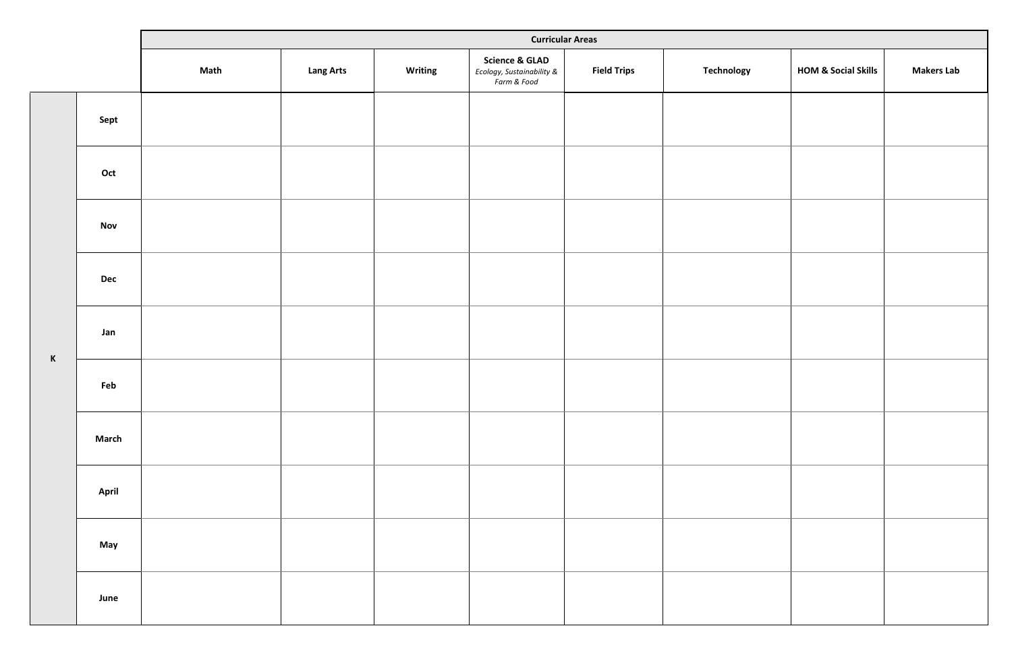|        |              | <b>Curricular Areas</b> |                  |         |                                                                       |                    |                   |                                |                   |  |
|--------|--------------|-------------------------|------------------|---------|-----------------------------------------------------------------------|--------------------|-------------------|--------------------------------|-------------------|--|
|        |              | Math                    | <b>Lang Arts</b> | Writing | <b>Science &amp; GLAD</b><br>Ecology, Sustainability &<br>Farm & Food | <b>Field Trips</b> | <b>Technology</b> | <b>HOM &amp; Social Skills</b> | <b>Makers Lab</b> |  |
|        | Sept         |                         |                  |         |                                                                       |                    |                   |                                |                   |  |
|        | Oct          |                         |                  |         |                                                                       |                    |                   |                                |                   |  |
|        | <b>Nov</b>   |                         |                  |         |                                                                       |                    |                   |                                |                   |  |
|        | <b>Dec</b>   |                         |                  |         |                                                                       |                    |                   |                                |                   |  |
|        | Jan          |                         |                  |         |                                                                       |                    |                   |                                |                   |  |
| $\,$ K | Feb          |                         |                  |         |                                                                       |                    |                   |                                |                   |  |
|        | <b>March</b> |                         |                  |         |                                                                       |                    |                   |                                |                   |  |
|        | <b>April</b> |                         |                  |         |                                                                       |                    |                   |                                |                   |  |
|        | May          |                         |                  |         |                                                                       |                    |                   |                                |                   |  |
|        | June         |                         |                  |         |                                                                       |                    |                   |                                |                   |  |